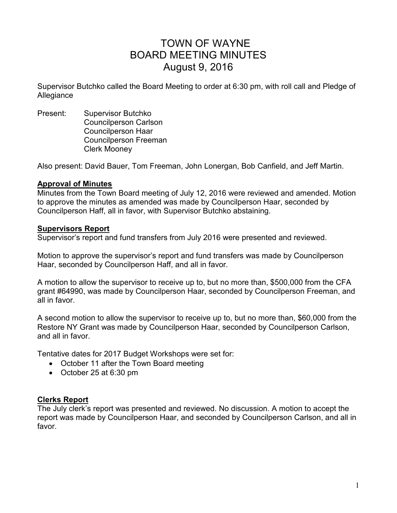# TOWN OF WAYNE BOARD MEETING MINUTES August 9, 2016

Supervisor Butchko called the Board Meeting to order at 6:30 pm, with roll call and Pledge of Allegiance

Present: Supervisor Butchko Councilperson Carlson Councilperson Haar Councilperson Freeman Clerk Mooney

Also present: David Bauer, Tom Freeman, John Lonergan, Bob Canfield, and Jeff Martin.

## **Approval of Minutes**

Minutes from the Town Board meeting of July 12, 2016 were reviewed and amended. Motion to approve the minutes as amended was made by Councilperson Haar, seconded by Councilperson Haff, all in favor, with Supervisor Butchko abstaining.

## **Supervisors Report**

Supervisor's report and fund transfers from July 2016 were presented and reviewed.

Motion to approve the supervisor's report and fund transfers was made by Councilperson Haar, seconded by Councilperson Haff, and all in favor.

A motion to allow the supervisor to receive up to, but no more than, \$500,000 from the CFA grant #64990, was made by Councilperson Haar, seconded by Councilperson Freeman, and all in favor.

A second motion to allow the supervisor to receive up to, but no more than, \$60,000 from the Restore NY Grant was made by Councilperson Haar, seconded by Councilperson Carlson, and all in favor.

Tentative dates for 2017 Budget Workshops were set for:

- October 11 after the Town Board meeting
- October 25 at 6:30 pm

## **Clerks Report**

The July clerk's report was presented and reviewed. No discussion. A motion to accept the report was made by Councilperson Haar, and seconded by Councilperson Carlson, and all in favor.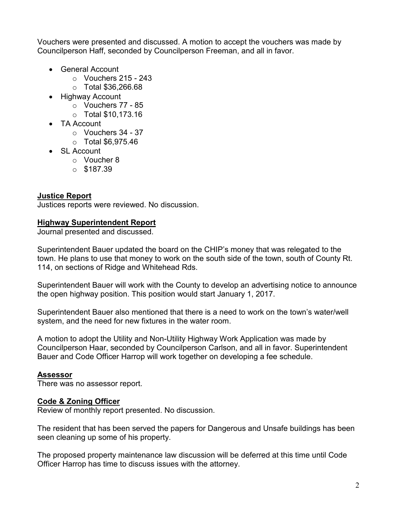Vouchers were presented and discussed. A motion to accept the vouchers was made by Councilperson Haff, seconded by Councilperson Freeman, and all in favor.

- General Account
	- $\circ$  Vouchers 215 243
	- o Total \$36,266.68
- Highway Account
	- o Vouchers 77 85
	- o Total \$10,173.16
- TA Account
	- o Vouchers 34 37
	- o Total \$6,975.46
- SL Account
	- o Voucher 8
	- $O$  \$187.39

## **Justice Report**

Justices reports were reviewed. No discussion.

## **Highway Superintendent Report**

Journal presented and discussed.

Superintendent Bauer updated the board on the CHIP's money that was relegated to the town. He plans to use that money to work on the south side of the town, south of County Rt. 114, on sections of Ridge and Whitehead Rds.

Superintendent Bauer will work with the County to develop an advertising notice to announce the open highway position. This position would start January 1, 2017.

Superintendent Bauer also mentioned that there is a need to work on the town's water/well system, and the need for new fixtures in the water room.

A motion to adopt the Utility and Non-Utility Highway Work Application was made by Councilperson Haar, seconded by Councilperson Carlson, and all in favor. Superintendent Bauer and Code Officer Harrop will work together on developing a fee schedule.

## **Assessor**

There was no assessor report.

## **Code & Zoning Officer**

Review of monthly report presented. No discussion.

The resident that has been served the papers for Dangerous and Unsafe buildings has been seen cleaning up some of his property.

The proposed property maintenance law discussion will be deferred at this time until Code Officer Harrop has time to discuss issues with the attorney.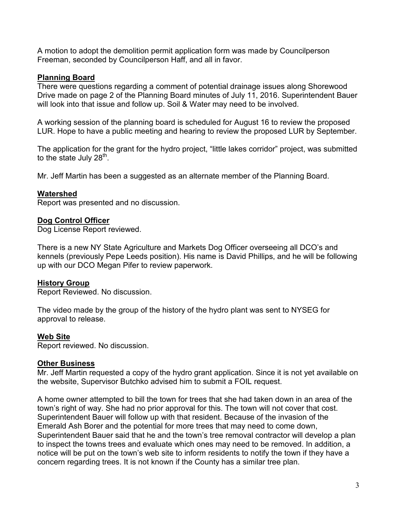A motion to adopt the demolition permit application form was made by Councilperson Freeman, seconded by Councilperson Haff, and all in favor.

## **Planning Board**

There were questions regarding a comment of potential drainage issues along Shorewood Drive made on page 2 of the Planning Board minutes of July 11, 2016. Superintendent Bauer will look into that issue and follow up. Soil & Water may need to be involved.

A working session of the planning board is scheduled for August 16 to review the proposed LUR. Hope to have a public meeting and hearing to review the proposed LUR by September.

The application for the grant for the hydro project, "little lakes corridor" project, was submitted to the state July 28<sup>th</sup>.

Mr. Jeff Martin has been a suggested as an alternate member of the Planning Board.

## **Watershed**

Report was presented and no discussion.

## **Dog Control Officer**

Dog License Report reviewed.

There is a new NY State Agriculture and Markets Dog Officer overseeing all DCO's and kennels (previously Pepe Leeds position). His name is David Phillips, and he will be following up with our DCO Megan Pifer to review paperwork.

## **History Group**

Report Reviewed. No discussion.

The video made by the group of the history of the hydro plant was sent to NYSEG for approval to release.

## **Web Site**

Report reviewed. No discussion.

## **Other Business**

Mr. Jeff Martin requested a copy of the hydro grant application. Since it is not yet available on the website, Supervisor Butchko advised him to submit a FOIL request.

A home owner attempted to bill the town for trees that she had taken down in an area of the town's right of way. She had no prior approval for this. The town will not cover that cost. Superintendent Bauer will follow up with that resident. Because of the invasion of the Emerald Ash Borer and the potential for more trees that may need to come down, Superintendent Bauer said that he and the town's tree removal contractor will develop a plan to inspect the towns trees and evaluate which ones may need to be removed. In addition, a notice will be put on the town's web site to inform residents to notify the town if they have a concern regarding trees. It is not known if the County has a similar tree plan.